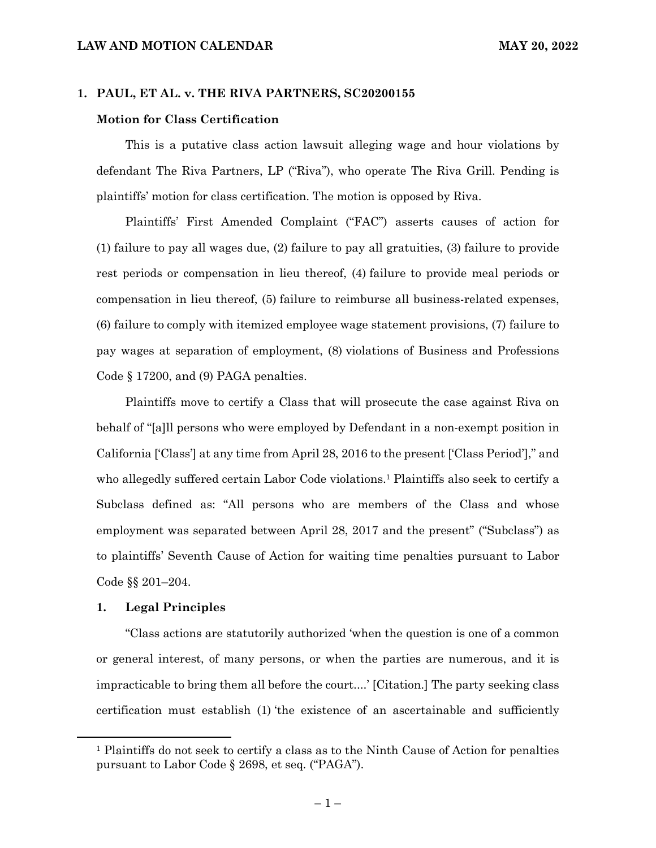# **1. PAUL, ET AL. v. THE RIVA PARTNERS, SC20200155**

# **Motion for Class Certification**

This is a putative class action lawsuit alleging wage and hour violations by defendant The Riva Partners, LP ("Riva"), who operate The Riva Grill. Pending is plaintiffs' motion for class certification. The motion is opposed by Riva.

Plaintiffs' First Amended Complaint ("FAC") asserts causes of action for (1) failure to pay all wages due, (2) failure to pay all gratuities, (3) failure to provide rest periods or compensation in lieu thereof, (4) failure to provide meal periods or compensation in lieu thereof, (5) failure to reimburse all business-related expenses, (6) failure to comply with itemized employee wage statement provisions, (7) failure to pay wages at separation of employment, (8) violations of Business and Professions Code § 17200, and (9) PAGA penalties.

Plaintiffs move to certify a Class that will prosecute the case against Riva on behalf of "[a]ll persons who were employed by Defendant in a non-exempt position in California ['Class'] at any time from April 28, 2016 to the present ['Class Period']," and who allegedly suffered certain Labor Code violations.1 Plaintiffs also seek to certify a Subclass defined as: "All persons who are members of the Class and whose employment was separated between April 28, 2017 and the present" ("Subclass") as to plaintiffs' Seventh Cause of Action for waiting time penalties pursuant to Labor Code §§ 201–204.

#### **1. Legal Principles**

"Class actions are statutorily authorized 'when the question is one of a common or general interest, of many persons, or when the parties are numerous, and it is impracticable to bring them all before the court....' [Citation.] The party seeking class certification must establish (1) 'the existence of an ascertainable and sufficiently

<sup>1</sup> Plaintiffs do not seek to certify a class as to the Ninth Cause of Action for penalties pursuant to Labor Code § 2698, et seq. ("PAGA").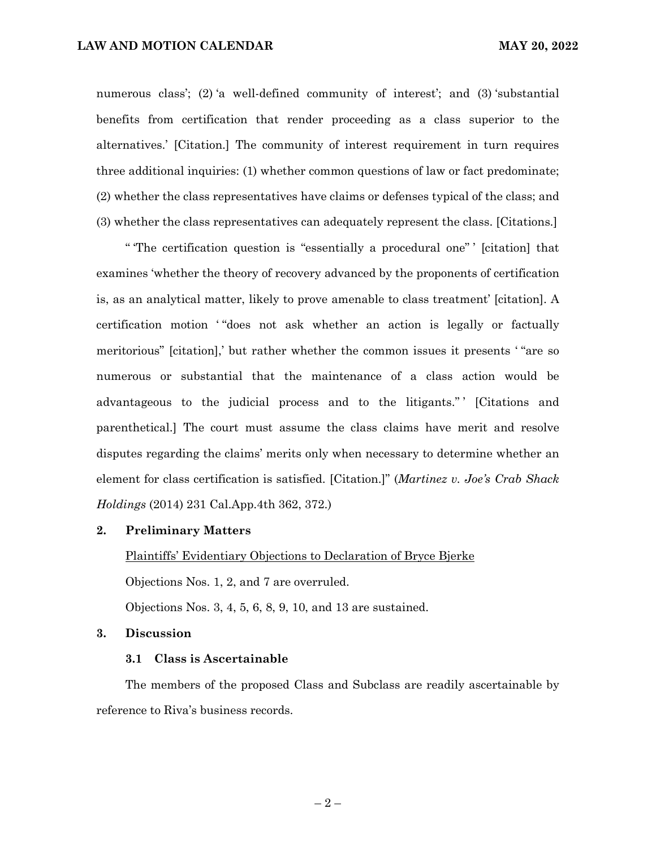numerous class'; (2) 'a well-defined community of interest'; and (3) 'substantial benefits from certification that render proceeding as a class superior to the alternatives.' [Citation.] The community of interest requirement in turn requires three additional inquiries: (1) whether common questions of law or fact predominate; (2) whether the class representatives have claims or defenses typical of the class; and (3) whether the class representatives can adequately represent the class. [Citations.]

" 'The certification question is "essentially a procedural one" ' [citation] that examines 'whether the theory of recovery advanced by the proponents of certification is, as an analytical matter, likely to prove amenable to class treatment' [citation]. A certification motion "does not ask whether an action is legally or factually meritorious" [citation],' but rather whether the common issues it presents ' "are so numerous or substantial that the maintenance of a class action would be advantageous to the judicial process and to the litigants." ' [Citations and parenthetical.] The court must assume the class claims have merit and resolve disputes regarding the claims' merits only when necessary to determine whether an element for class certification is satisfied. [Citation.]" (*Martinez v. Joe's Crab Shack Holdings* (2014) 231 Cal.App.4th 362, 372.)

# **2. Preliminary Matters**

Plaintiffs' Evidentiary Objections to Declaration of Bryce Bjerke

Objections Nos. 1, 2, and 7 are overruled.

Objections Nos. 3, 4, 5, 6, 8, 9, 10, and 13 are sustained.

#### **3. Discussion**

# **3.1 Class is Ascertainable**

The members of the proposed Class and Subclass are readily ascertainable by reference to Riva's business records.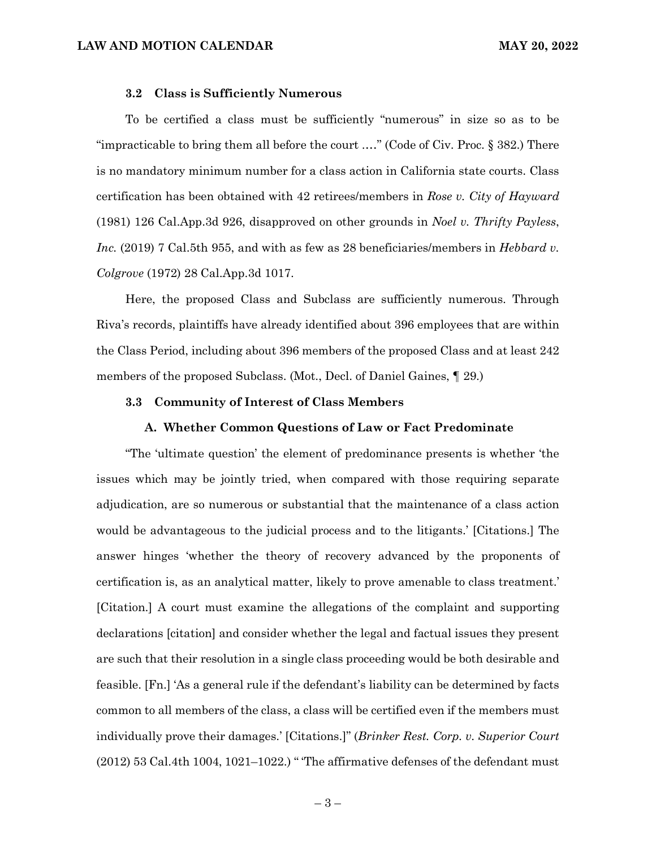#### **3.2 Class is Sufficiently Numerous**

To be certified a class must be sufficiently "numerous" in size so as to be "impracticable to bring them all before the court .…" (Code of Civ. Proc. § 382.) There is no mandatory minimum number for a class action in California state courts. Class certification has been obtained with 42 retirees/members in *Rose v. City of Hayward* (1981) 126 Cal.App.3d 926, disapproved on other grounds in *Noel v. Thrifty Payless*, *Inc.* (2019) 7 Cal.5th 955, and with as few as 28 beneficiaries/members in *Hebbard v. Colgrove* (1972) 28 Cal.App.3d 1017.

Here, the proposed Class and Subclass are sufficiently numerous. Through Riva's records, plaintiffs have already identified about 396 employees that are within the Class Period, including about 396 members of the proposed Class and at least 242 members of the proposed Subclass. (Mot., Decl. of Daniel Gaines, ¶ 29.)

#### **3.3 Community of Interest of Class Members**

#### **A. Whether Common Questions of Law or Fact Predominate**

"The 'ultimate question' the element of predominance presents is whether 'the issues which may be jointly tried, when compared with those requiring separate adjudication, are so numerous or substantial that the maintenance of a class action would be advantageous to the judicial process and to the litigants.' [Citations.] The answer hinges 'whether the theory of recovery advanced by the proponents of certification is, as an analytical matter, likely to prove amenable to class treatment.' [Citation.] A court must examine the allegations of the complaint and supporting declarations [citation] and consider whether the legal and factual issues they present are such that their resolution in a single class proceeding would be both desirable and feasible. [Fn.] 'As a general rule if the defendant's liability can be determined by facts common to all members of the class, a class will be certified even if the members must individually prove their damages.' [Citations.]" (*Brinker Rest. Corp. v. Superior Court*  $(2012)$  53 Cal.4th 1004, 1021–1022.) "The affirmative defenses of the defendant must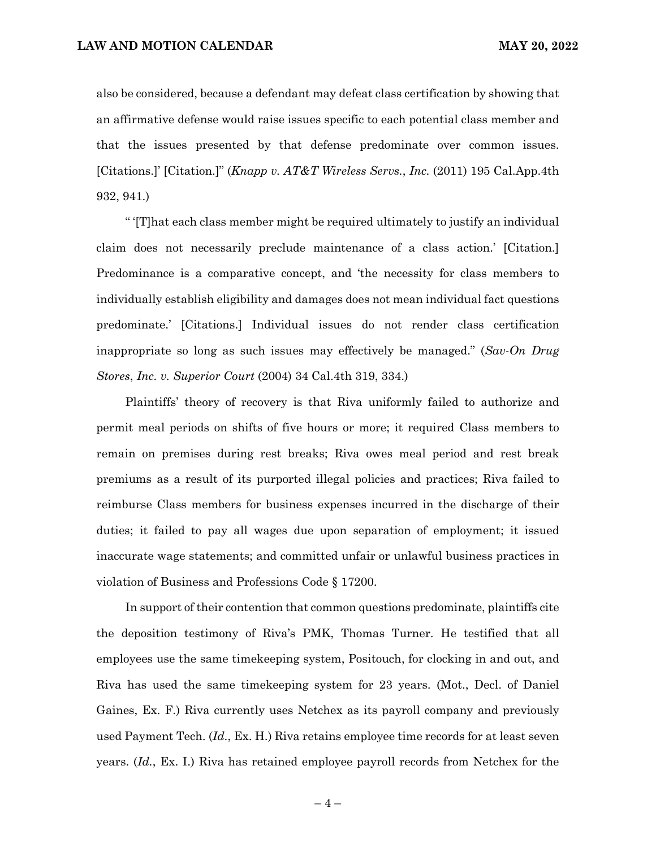also be considered, because a defendant may defeat class certification by showing that an affirmative defense would raise issues specific to each potential class member and that the issues presented by that defense predominate over common issues. [Citations.]' [Citation.]" (*Knapp v. AT&T Wireless Servs.*, *Inc.* (2011) 195 Cal.App.4th 932, 941.)

" '[T]hat each class member might be required ultimately to justify an individual claim does not necessarily preclude maintenance of a class action.' [Citation.] Predominance is a comparative concept, and 'the necessity for class members to individually establish eligibility and damages does not mean individual fact questions predominate.' [Citations.] Individual issues do not render class certification inappropriate so long as such issues may effectively be managed." (*Sav-On Drug Stores*, *Inc. v. Superior Court* (2004) 34 Cal.4th 319, 334.)

Plaintiffs' theory of recovery is that Riva uniformly failed to authorize and permit meal periods on shifts of five hours or more; it required Class members to remain on premises during rest breaks; Riva owes meal period and rest break premiums as a result of its purported illegal policies and practices; Riva failed to reimburse Class members for business expenses incurred in the discharge of their duties; it failed to pay all wages due upon separation of employment; it issued inaccurate wage statements; and committed unfair or unlawful business practices in violation of Business and Professions Code § 17200.

In support of their contention that common questions predominate, plaintiffs cite the deposition testimony of Riva's PMK, Thomas Turner. He testified that all employees use the same timekeeping system, Positouch, for clocking in and out, and Riva has used the same timekeeping system for 23 years. (Mot., Decl. of Daniel Gaines, Ex. F.) Riva currently uses Netchex as its payroll company and previously used Payment Tech. (*Id.*, Ex. H.) Riva retains employee time records for at least seven years. (*Id.*, Ex. I.) Riva has retained employee payroll records from Netchex for the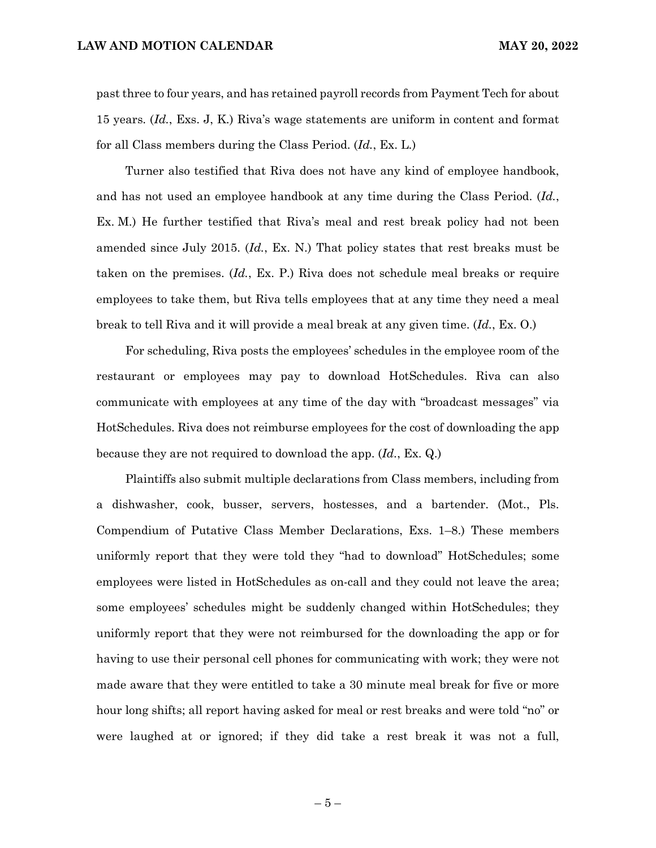past three to four years, and has retained payroll records from Payment Tech for about 15 years. (*Id.*, Exs. J, K.) Riva's wage statements are uniform in content and format for all Class members during the Class Period. (*Id.*, Ex. L.)

Turner also testified that Riva does not have any kind of employee handbook, and has not used an employee handbook at any time during the Class Period. (*Id.*, Ex. M.) He further testified that Riva's meal and rest break policy had not been amended since July 2015. (*Id.*, Ex. N.) That policy states that rest breaks must be taken on the premises. (*Id.*, Ex. P.) Riva does not schedule meal breaks or require employees to take them, but Riva tells employees that at any time they need a meal break to tell Riva and it will provide a meal break at any given time. (*Id.*, Ex. O.)

For scheduling, Riva posts the employees' schedules in the employee room of the restaurant or employees may pay to download HotSchedules. Riva can also communicate with employees at any time of the day with "broadcast messages" via HotSchedules. Riva does not reimburse employees for the cost of downloading the app because they are not required to download the app. (*Id.*, Ex. Q.)

Plaintiffs also submit multiple declarations from Class members, including from a dishwasher, cook, busser, servers, hostesses, and a bartender. (Mot., Pls. Compendium of Putative Class Member Declarations, Exs. 1–8.) These members uniformly report that they were told they "had to download" HotSchedules; some employees were listed in HotSchedules as on-call and they could not leave the area; some employees' schedules might be suddenly changed within HotSchedules; they uniformly report that they were not reimbursed for the downloading the app or for having to use their personal cell phones for communicating with work; they were not made aware that they were entitled to take a 30 minute meal break for five or more hour long shifts; all report having asked for meal or rest breaks and were told "no" or were laughed at or ignored; if they did take a rest break it was not a full,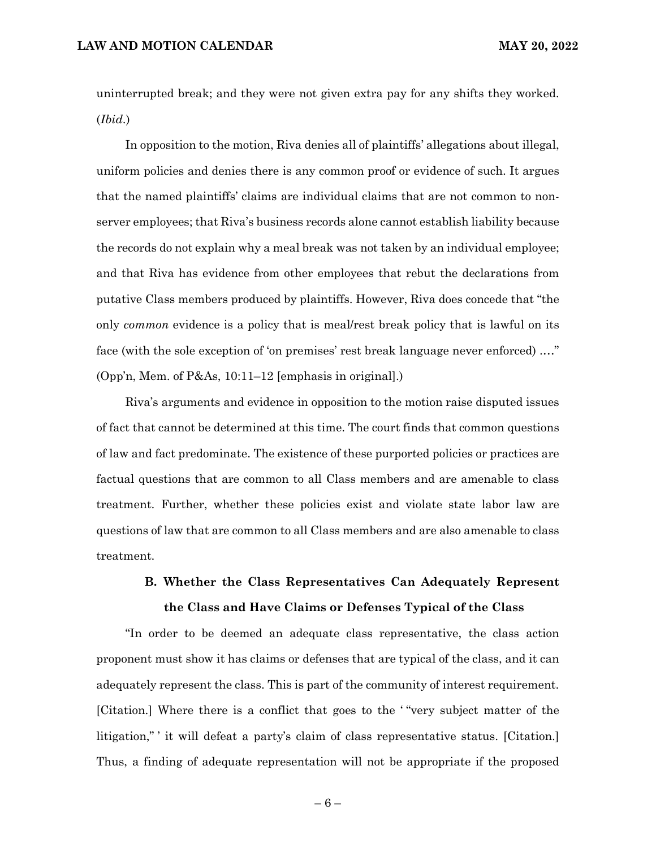uninterrupted break; and they were not given extra pay for any shifts they worked. (*Ibid.*)

In opposition to the motion, Riva denies all of plaintiffs' allegations about illegal, uniform policies and denies there is any common proof or evidence of such. It argues that the named plaintiffs' claims are individual claims that are not common to nonserver employees; that Riva's business records alone cannot establish liability because the records do not explain why a meal break was not taken by an individual employee; and that Riva has evidence from other employees that rebut the declarations from putative Class members produced by plaintiffs. However, Riva does concede that "the only *common* evidence is a policy that is meal/rest break policy that is lawful on its face (with the sole exception of 'on premises' rest break language never enforced) .…" (Opp'n, Mem. of P&As, 10:11–12 [emphasis in original].)

Riva's arguments and evidence in opposition to the motion raise disputed issues of fact that cannot be determined at this time. The court finds that common questions of law and fact predominate. The existence of these purported policies or practices are factual questions that are common to all Class members and are amenable to class treatment. Further, whether these policies exist and violate state labor law are questions of law that are common to all Class members and are also amenable to class treatment.

# **B. Whether the Class Representatives Can Adequately Represent the Class and Have Claims or Defenses Typical of the Class**

"In order to be deemed an adequate class representative, the class action proponent must show it has claims or defenses that are typical of the class, and it can adequately represent the class. This is part of the community of interest requirement. [Citation.] Where there is a conflict that goes to the ' "very subject matter of the litigation," ' it will defeat a party's claim of class representative status. [Citation.] Thus, a finding of adequate representation will not be appropriate if the proposed

 $-6-$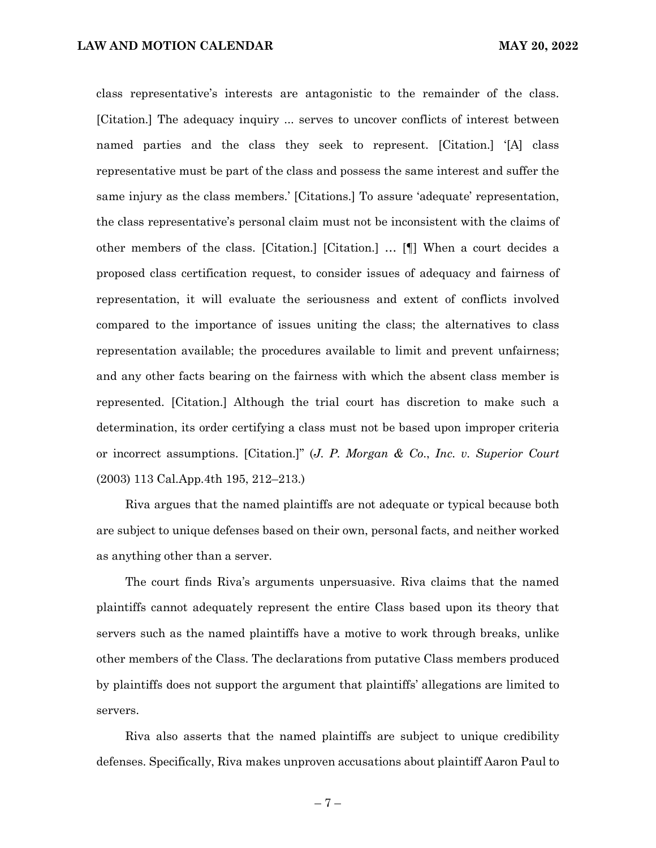class representative's interests are antagonistic to the remainder of the class. [Citation.] The adequacy inquiry ... serves to uncover conflicts of interest between named parties and the class they seek to represent. [Citation.] '[A] class representative must be part of the class and possess the same interest and suffer the same injury as the class members.' [Citations.] To assure 'adequate' representation, the class representative's personal claim must not be inconsistent with the claims of other members of the class. [Citation.] [Citation.] … [¶] When a court decides a proposed class certification request, to consider issues of adequacy and fairness of representation, it will evaluate the seriousness and extent of conflicts involved compared to the importance of issues uniting the class; the alternatives to class representation available; the procedures available to limit and prevent unfairness; and any other facts bearing on the fairness with which the absent class member is represented. [Citation.] Although the trial court has discretion to make such a determination, its order certifying a class must not be based upon improper criteria or incorrect assumptions. [Citation.]" (*J. P. Morgan & Co*., *Inc. v. Superior Court* (2003) 113 Cal.App.4th 195, 212–213.)

Riva argues that the named plaintiffs are not adequate or typical because both are subject to unique defenses based on their own, personal facts, and neither worked as anything other than a server.

The court finds Riva's arguments unpersuasive. Riva claims that the named plaintiffs cannot adequately represent the entire Class based upon its theory that servers such as the named plaintiffs have a motive to work through breaks, unlike other members of the Class. The declarations from putative Class members produced by plaintiffs does not support the argument that plaintiffs' allegations are limited to servers.

Riva also asserts that the named plaintiffs are subject to unique credibility defenses. Specifically, Riva makes unproven accusations about plaintiff Aaron Paul to

 $-7-$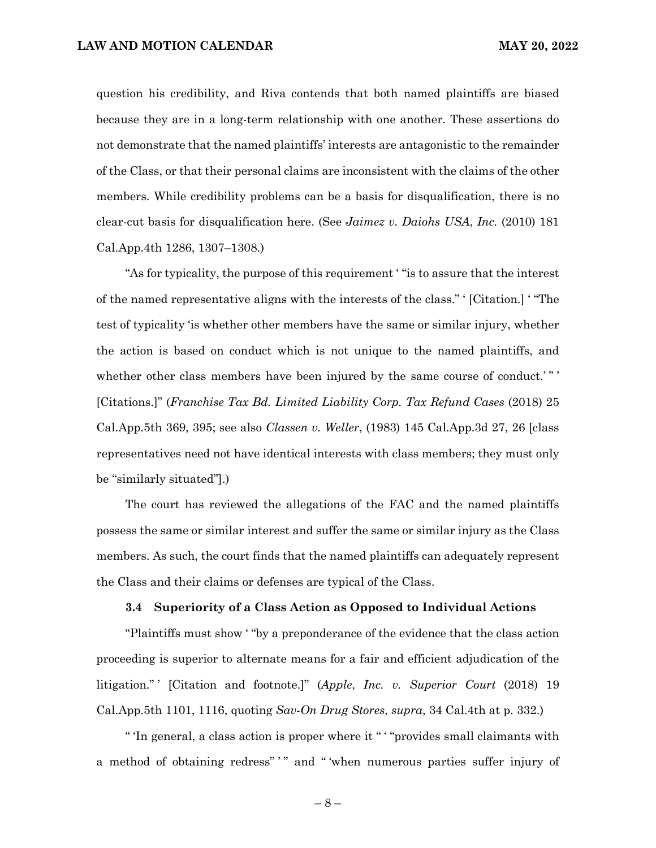question his credibility, and Riva contends that both named plaintiffs are biased because they are in a long-term relationship with one another. These assertions do not demonstrate that the named plaintiffs' interests are antagonistic to the remainder of the Class, or that their personal claims are inconsistent with the claims of the other members. While credibility problems can be a basis for disqualification, there is no clear-cut basis for disqualification here. (See *Jaimez v. Daiohs USA*, *Inc.* (2010) 181 Cal.App.4th 1286, 1307–1308.)

"As for typicality, the purpose of this requirement ' "is to assure that the interest of the named representative aligns with the interests of the class." ' [Citation.] ' "The test of typicality 'is whether other members have the same or similar injury, whether the action is based on conduct which is not unique to the named plaintiffs, and whether other class members have been injured by the same course of conduct.'"' [Citations.]" (*Franchise Tax Bd. Limited Liability Corp. Tax Refund Cases* (2018) 25 Cal.App.5th 369, 395; see also *Classen v. Weller*, (1983) 145 Cal.App.3d 27, 26 [class representatives need not have identical interests with class members; they must only be "similarly situated"].)

The court has reviewed the allegations of the FAC and the named plaintiffs possess the same or similar interest and suffer the same or similar injury as the Class members. As such, the court finds that the named plaintiffs can adequately represent the Class and their claims or defenses are typical of the Class.

#### **3.4 Superiority of a Class Action as Opposed to Individual Actions**

"Plaintiffs must show ' "by a preponderance of the evidence that the class action proceeding is superior to alternate means for a fair and efficient adjudication of the litigation." ' [Citation and footnote.]" (*Apple*, *Inc. v. Superior Court* (2018) 19 Cal.App.5th 1101, 1116, quoting *Sav-On Drug Stores*, *supra*, 34 Cal.4th at p. 332.)

" 'In general, a class action is proper where it " ' "provides small claimants with a method of obtaining redress"" and "'when numerous parties suffer injury of

– 8 –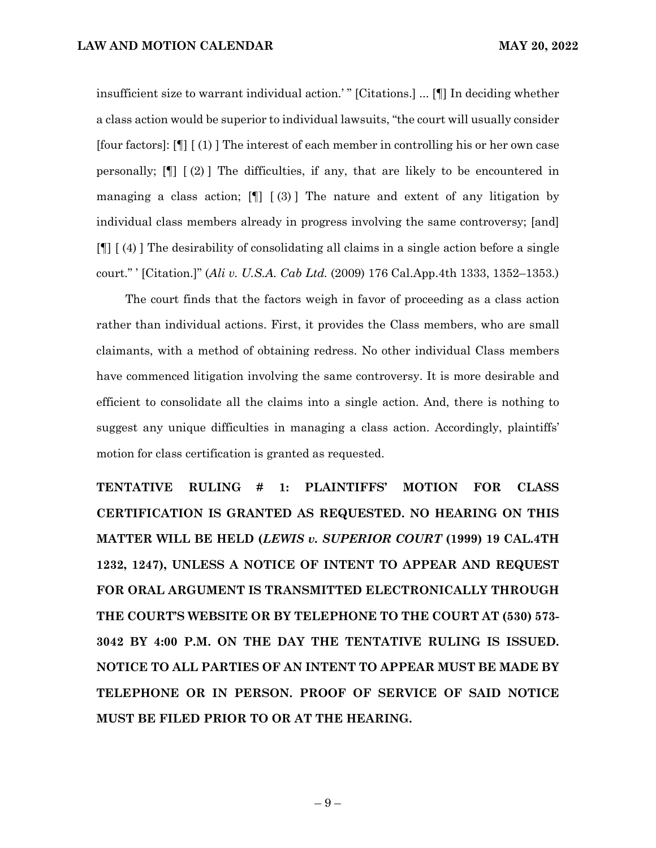insufficient size to warrant individual action.' " [Citations.] ... [¶] In deciding whether a class action would be superior to individual lawsuits, "the court will usually consider [four factors]: [¶] [ (1) ] The interest of each member in controlling his or her own case personally; [¶] [ (2) ] The difficulties, if any, that are likely to be encountered in managing a class action;  $[\cdot]$  [(3)] The nature and extent of any litigation by individual class members already in progress involving the same controversy; [and] [¶] [ (4) ] The desirability of consolidating all claims in a single action before a single court." ' [Citation.]" (*Ali v. U.S.A. Cab Ltd.* (2009) 176 Cal.App.4th 1333, 1352–1353.)

The court finds that the factors weigh in favor of proceeding as a class action rather than individual actions. First, it provides the Class members, who are small claimants, with a method of obtaining redress. No other individual Class members have commenced litigation involving the same controversy. It is more desirable and efficient to consolidate all the claims into a single action. And, there is nothing to suggest any unique difficulties in managing a class action. Accordingly, plaintiffs' motion for class certification is granted as requested.

**TENTATIVE RULING # 1: PLAINTIFFS' MOTION FOR CLASS CERTIFICATION IS GRANTED AS REQUESTED. NO HEARING ON THIS MATTER WILL BE HELD (***LEWIS v. SUPERIOR COURT* **(1999) 19 CAL.4TH 1232, 1247), UNLESS A NOTICE OF INTENT TO APPEAR AND REQUEST FOR ORAL ARGUMENT IS TRANSMITTED ELECTRONICALLY THROUGH THE COURT'S WEBSITE OR BY TELEPHONE TO THE COURT AT (530) 573- 3042 BY 4:00 P.M. ON THE DAY THE TENTATIVE RULING IS ISSUED. NOTICE TO ALL PARTIES OF AN INTENT TO APPEAR MUST BE MADE BY TELEPHONE OR IN PERSON. PROOF OF SERVICE OF SAID NOTICE MUST BE FILED PRIOR TO OR AT THE HEARING.**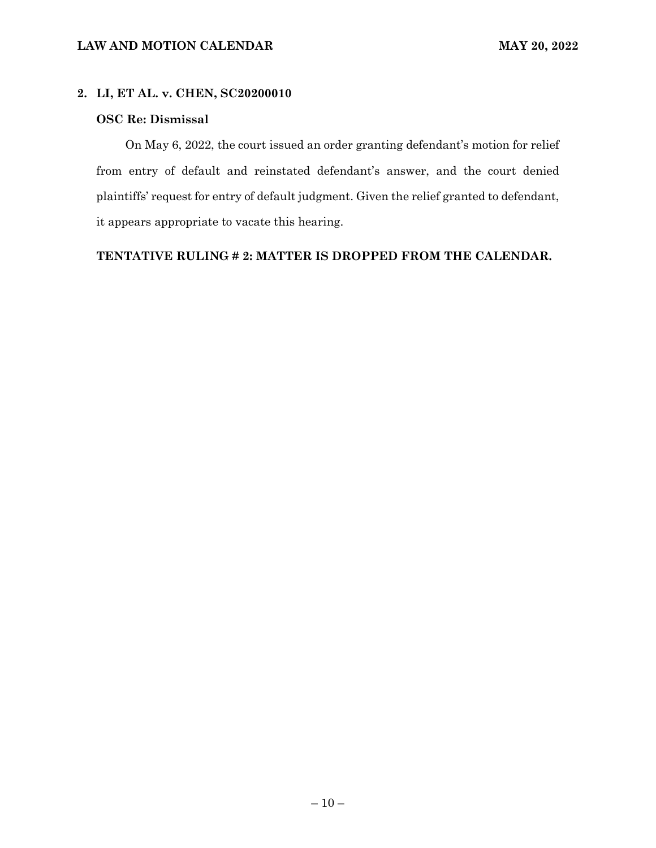# **2. LI, ET AL. v. CHEN, SC20200010**

# **OSC Re: Dismissal**

On May 6, 2022, the court issued an order granting defendant's motion for relief from entry of default and reinstated defendant's answer, and the court denied plaintiffs' request for entry of default judgment. Given the relief granted to defendant, it appears appropriate to vacate this hearing.

**TENTATIVE RULING # 2: MATTER IS DROPPED FROM THE CALENDAR.**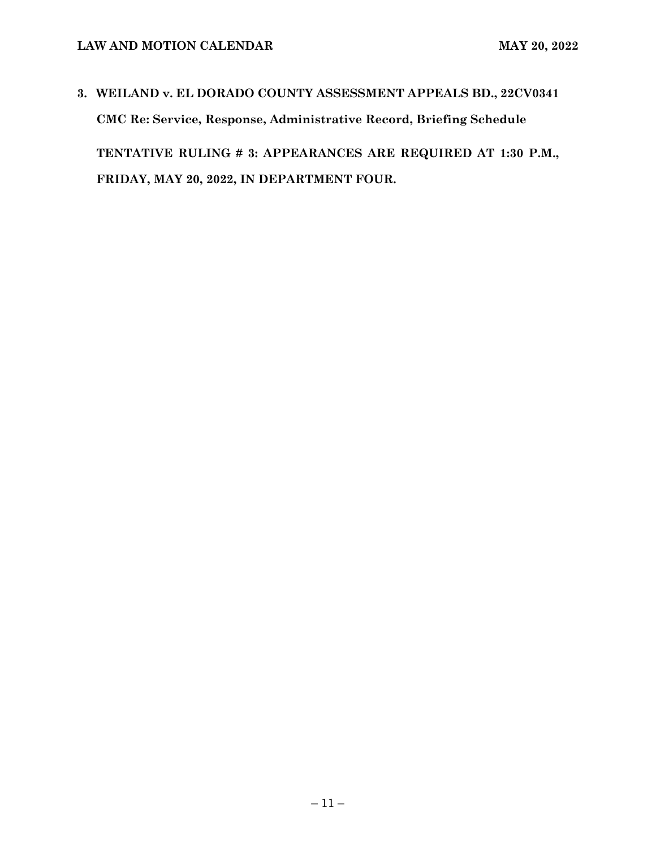# **3. WEILAND v. EL DORADO COUNTY ASSESSMENT APPEALS BD., 22CV0341 CMC Re: Service, Response, Administrative Record, Briefing Schedule TENTATIVE RULING # 3: APPEARANCES ARE REQUIRED AT 1:30 P.M., FRIDAY, MAY 20, 2022, IN DEPARTMENT FOUR.**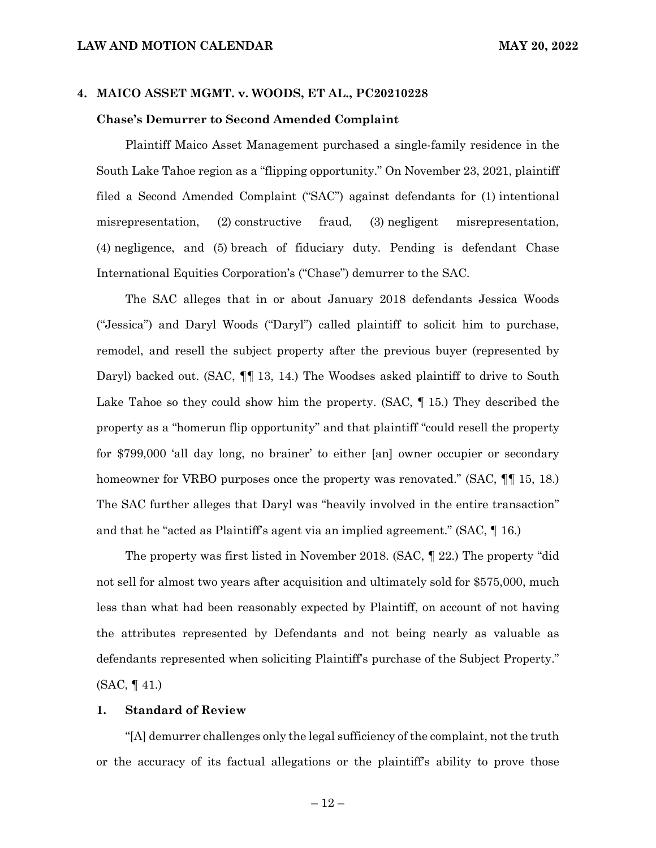# **4. MAICO ASSET MGMT. v. WOODS, ET AL., PC20210228**

#### **Chase's Demurrer to Second Amended Complaint**

Plaintiff Maico Asset Management purchased a single-family residence in the South Lake Tahoe region as a "flipping opportunity." On November 23, 2021, plaintiff filed a Second Amended Complaint ("SAC") against defendants for (1) intentional misrepresentation, (2) constructive fraud, (3) negligent misrepresentation, (4) negligence, and (5) breach of fiduciary duty. Pending is defendant Chase International Equities Corporation's ("Chase") demurrer to the SAC.

The SAC alleges that in or about January 2018 defendants Jessica Woods ("Jessica") and Daryl Woods ("Daryl") called plaintiff to solicit him to purchase, remodel, and resell the subject property after the previous buyer (represented by Daryl) backed out. (SAC,  $\P$ [ 13, 14.) The Woodses asked plaintiff to drive to South Lake Tahoe so they could show him the property. (SAC, ¶ 15.) They described the property as a "homerun flip opportunity" and that plaintiff "could resell the property for \$799,000 'all day long, no brainer' to either [an] owner occupier or secondary homeowner for VRBO purposes once the property was renovated." (SAC,  $\P\P$  15, 18.) The SAC further alleges that Daryl was "heavily involved in the entire transaction" and that he "acted as Plaintiff's agent via an implied agreement." (SAC, ¶ 16.)

The property was first listed in November 2018. (SAC, ¶ 22.) The property "did not sell for almost two years after acquisition and ultimately sold for \$575,000, much less than what had been reasonably expected by Plaintiff, on account of not having the attributes represented by Defendants and not being nearly as valuable as defendants represented when soliciting Plaintiff's purchase of the Subject Property." (SAC, ¶ 41.)

#### **1. Standard of Review**

"[A] demurrer challenges only the legal sufficiency of the complaint, not the truth or the accuracy of its factual allegations or the plaintiff's ability to prove those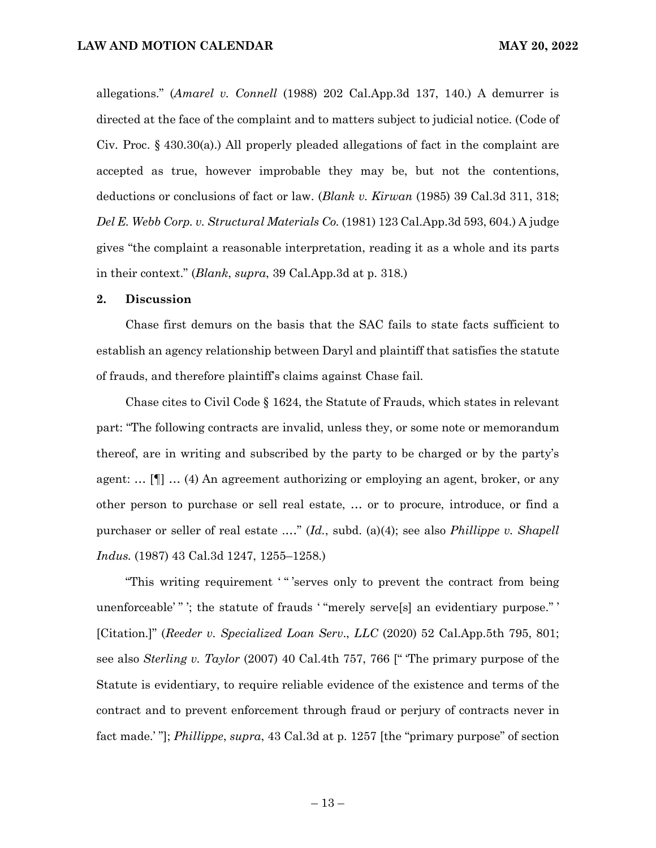allegations." (*Amarel v. Connell* (1988) 202 Cal.App.3d 137, 140.) A demurrer is directed at the face of the complaint and to matters subject to judicial notice. (Code of Civ. Proc. § 430.30(a).) All properly pleaded allegations of fact in the complaint are accepted as true, however improbable they may be, but not the contentions, deductions or conclusions of fact or law. (*Blank v. Kirwan* (1985) 39 Cal.3d 311, 318; *Del E. Webb Corp. v. Structural Materials Co.* (1981) 123 Cal.App.3d 593, 604.) A judge gives "the complaint a reasonable interpretation, reading it as a whole and its parts in their context." (*Blank*, *supra*, 39 Cal.App.3d at p. 318.)

# **2. Discussion**

Chase first demurs on the basis that the SAC fails to state facts sufficient to establish an agency relationship between Daryl and plaintiff that satisfies the statute of frauds, and therefore plaintiff's claims against Chase fail.

Chase cites to Civil Code § 1624, the Statute of Frauds, which states in relevant part: "The following contracts are invalid, unless they, or some note or memorandum thereof, are in writing and subscribed by the party to be charged or by the party's agent: … [¶] … (4) An agreement authorizing or employing an agent, broker, or any other person to purchase or sell real estate, … or to procure, introduce, or find a purchaser or seller of real estate .…" (*Id.*, subd. (a)(4); see also *Phillippe v. Shapell Indus.* (1987) 43 Cal.3d 1247, 1255–1258.)

"This writing requirement '" 'serves only to prevent the contract from being unenforceable' " '; the statute of frauds ' "merely serve[s] an evidentiary purpose." ' [Citation.]" (*Reeder v. Specialized Loan Serv*., *LLC* (2020) 52 Cal.App.5th 795, 801; see also *Sterling v. Taylor* (2007) 40 Cal.4th 757, 766 [" 'The primary purpose of the Statute is evidentiary, to require reliable evidence of the existence and terms of the contract and to prevent enforcement through fraud or perjury of contracts never in fact made.' "]; *Phillippe*, *supra*, 43 Cal.3d at p. 1257 [the "primary purpose" of section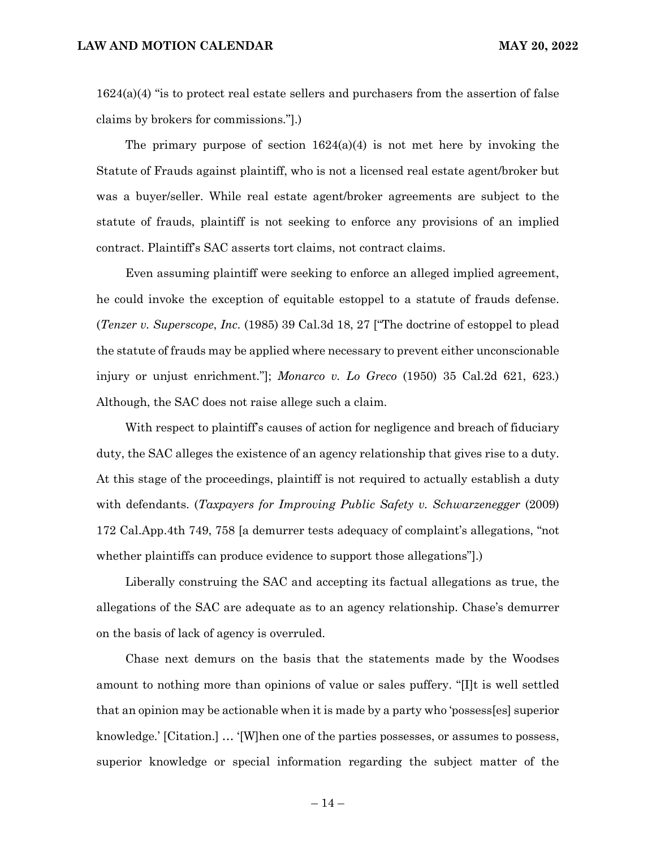$1624(a)(4)$  "is to protect real estate sellers and purchasers from the assertion of false claims by brokers for commissions."].)

The primary purpose of section  $1624(a)(4)$  is not met here by invoking the Statute of Frauds against plaintiff, who is not a licensed real estate agent/broker but was a buyer/seller. While real estate agent/broker agreements are subject to the statute of frauds, plaintiff is not seeking to enforce any provisions of an implied contract. Plaintiff's SAC asserts tort claims, not contract claims.

Even assuming plaintiff were seeking to enforce an alleged implied agreement, he could invoke the exception of equitable estoppel to a statute of frauds defense. (*Tenzer v. Superscope*, *Inc.* (1985) 39 Cal.3d 18, 27 ["The doctrine of estoppel to plead the statute of frauds may be applied where necessary to prevent either unconscionable injury or unjust enrichment."]; *Monarco v. Lo Greco* (1950) 35 Cal.2d 621, 623.) Although, the SAC does not raise allege such a claim.

With respect to plaintiff's causes of action for negligence and breach of fiduciary duty, the SAC alleges the existence of an agency relationship that gives rise to a duty. At this stage of the proceedings, plaintiff is not required to actually establish a duty with defendants. (*Taxpayers for Improving Public Safety v. Schwarzenegger* (2009) 172 Cal.App.4th 749, 758 [a demurrer tests adequacy of complaint's allegations, "not whether plaintiffs can produce evidence to support those allegations"].)

Liberally construing the SAC and accepting its factual allegations as true, the allegations of the SAC are adequate as to an agency relationship. Chase's demurrer on the basis of lack of agency is overruled.

Chase next demurs on the basis that the statements made by the Woodses amount to nothing more than opinions of value or sales puffery. "[I]t is well settled that an opinion may be actionable when it is made by a party who 'possess[es] superior knowledge.' [Citation.] … '[W]hen one of the parties possesses, or assumes to possess, superior knowledge or special information regarding the subject matter of the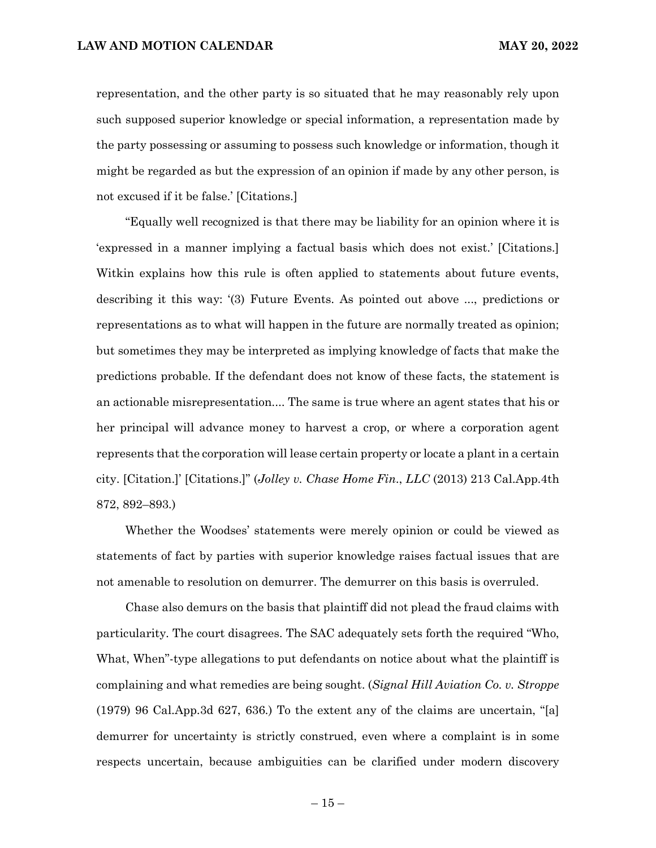representation, and the other party is so situated that he may reasonably rely upon such supposed superior knowledge or special information, a representation made by the party possessing or assuming to possess such knowledge or information, though it might be regarded as but the expression of an opinion if made by any other person, is not excused if it be false.' [Citations.]

"Equally well recognized is that there may be liability for an opinion where it is 'expressed in a manner implying a factual basis which does not exist.' [Citations.] Witkin explains how this rule is often applied to statements about future events, describing it this way: '(3) Future Events. As pointed out above ..., predictions or representations as to what will happen in the future are normally treated as opinion; but sometimes they may be interpreted as implying knowledge of facts that make the predictions probable. If the defendant does not know of these facts, the statement is an actionable misrepresentation.... The same is true where an agent states that his or her principal will advance money to harvest a crop, or where a corporation agent represents that the corporation will lease certain property or locate a plant in a certain city. [Citation.]' [Citations.]" (*Jolley v. Chase Home Fin*., *LLC* (2013) 213 Cal.App.4th 872, 892–893.)

Whether the Woodses' statements were merely opinion or could be viewed as statements of fact by parties with superior knowledge raises factual issues that are not amenable to resolution on demurrer. The demurrer on this basis is overruled.

Chase also demurs on the basis that plaintiff did not plead the fraud claims with particularity. The court disagrees. The SAC adequately sets forth the required "Who, What, When"-type allegations to put defendants on notice about what the plaintiff is complaining and what remedies are being sought. (*Signal Hill Aviation Co. v. Stroppe* (1979) 96 Cal.App.3d 627, 636.) To the extent any of the claims are uncertain, "[a] demurrer for uncertainty is strictly construed, even where a complaint is in some respects uncertain, because ambiguities can be clarified under modern discovery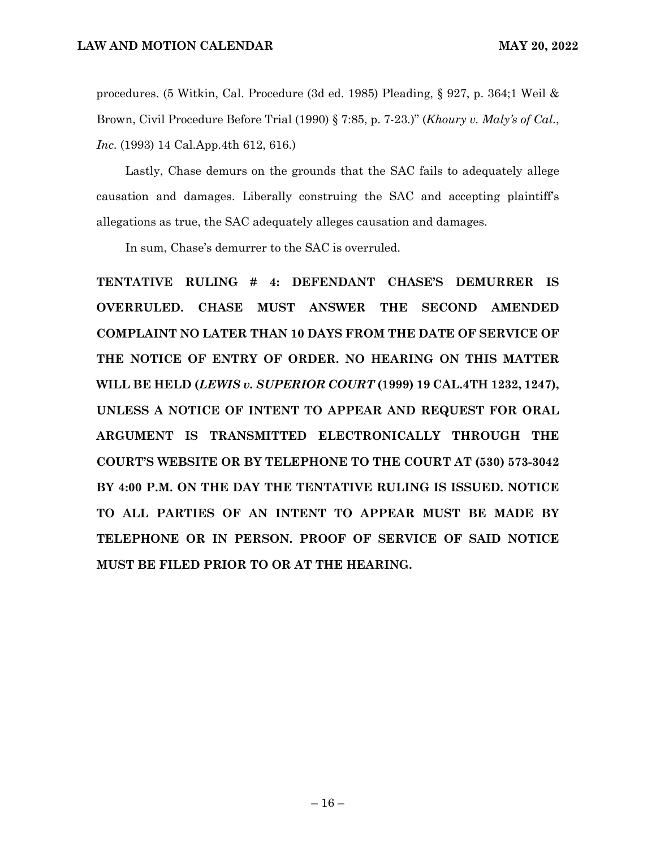procedures. (5 Witkin, Cal. Procedure (3d ed. 1985) Pleading, § 927, p. 364;1 Weil & Brown, Civil Procedure Before Trial (1990) § 7:85, p. 7-23.)" (*Khoury v. Maly's of Cal*., *Inc*. (1993) 14 Cal.App.4th 612, 616.)

Lastly, Chase demurs on the grounds that the SAC fails to adequately allege causation and damages. Liberally construing the SAC and accepting plaintiff's allegations as true, the SAC adequately alleges causation and damages.

In sum, Chase's demurrer to the SAC is overruled.

**TENTATIVE RULING # 4: DEFENDANT CHASE'S DEMURRER IS OVERRULED. CHASE MUST ANSWER THE SECOND AMENDED COMPLAINT NO LATER THAN 10 DAYS FROM THE DATE OF SERVICE OF THE NOTICE OF ENTRY OF ORDER. NO HEARING ON THIS MATTER WILL BE HELD (***LEWIS v. SUPERIOR COURT* **(1999) 19 CAL.4TH 1232, 1247), UNLESS A NOTICE OF INTENT TO APPEAR AND REQUEST FOR ORAL ARGUMENT IS TRANSMITTED ELECTRONICALLY THROUGH THE COURT'S WEBSITE OR BY TELEPHONE TO THE COURT AT (530) 573-3042 BY 4:00 P.M. ON THE DAY THE TENTATIVE RULING IS ISSUED. NOTICE TO ALL PARTIES OF AN INTENT TO APPEAR MUST BE MADE BY TELEPHONE OR IN PERSON. PROOF OF SERVICE OF SAID NOTICE MUST BE FILED PRIOR TO OR AT THE HEARING.**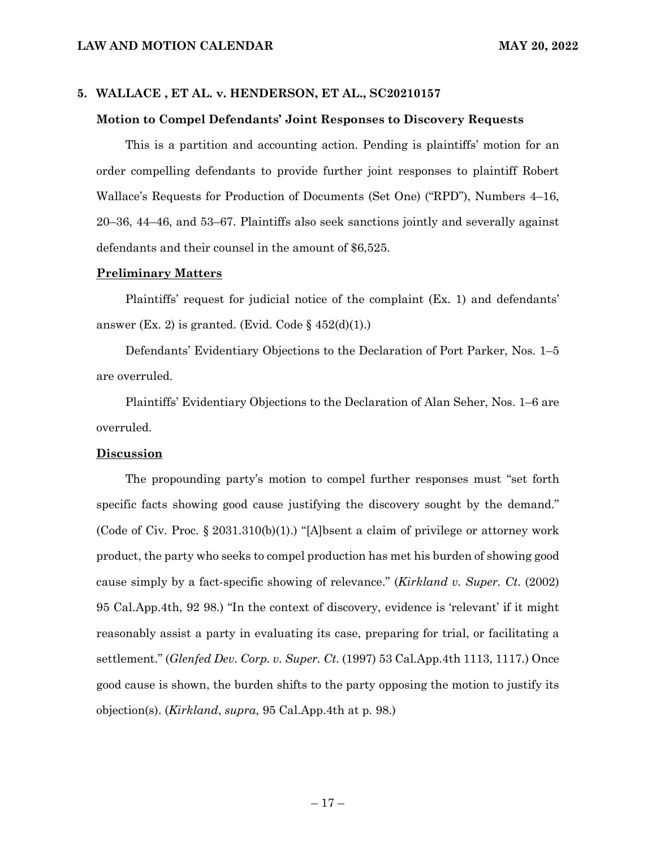# **5. WALLACE , ET AL. v. HENDERSON, ET AL., SC20210157**

# **Motion to Compel Defendants' Joint Responses to Discovery Requests**

This is a partition and accounting action. Pending is plaintiffs' motion for an order compelling defendants to provide further joint responses to plaintiff Robert Wallace's Requests for Production of Documents (Set One) ("RPD"), Numbers 4–16, 20–36, 44–46, and 53–67. Plaintiffs also seek sanctions jointly and severally against defendants and their counsel in the amount of \$6,525.

#### **Preliminary Matters**

Plaintiffs' request for judicial notice of the complaint (Ex. 1) and defendants' answer (Ex. 2) is granted. (Evid. Code  $\S 452(d)(1)$ .)

Defendants' Evidentiary Objections to the Declaration of Port Parker, Nos. 1–5 are overruled.

Plaintiffs' Evidentiary Objections to the Declaration of Alan Seher, Nos. 1–6 are overruled.

### **Discussion**

The propounding party's motion to compel further responses must "set forth specific facts showing good cause justifying the discovery sought by the demand." (Code of Civ. Proc.  $\S 2031.310(b)(1)$ .) "[A]bsent a claim of privilege or attorney work product, the party who seeks to compel production has met his burden of showing good cause simply by a fact-specific showing of relevance." (*Kirkland v. Super. Ct.* (2002) 95 Cal.App.4th, 92 98.) "In the context of discovery, evidence is 'relevant' if it might reasonably assist a party in evaluating its case, preparing for trial, or facilitating a settlement." (*Glenfed Dev. Corp. v. Super. Ct*. (1997) 53 Cal.App.4th 1113, 1117.) Once good cause is shown, the burden shifts to the party opposing the motion to justify its objection(s). (*Kirkland*, *supra*, 95 Cal.App.4th at p. 98.)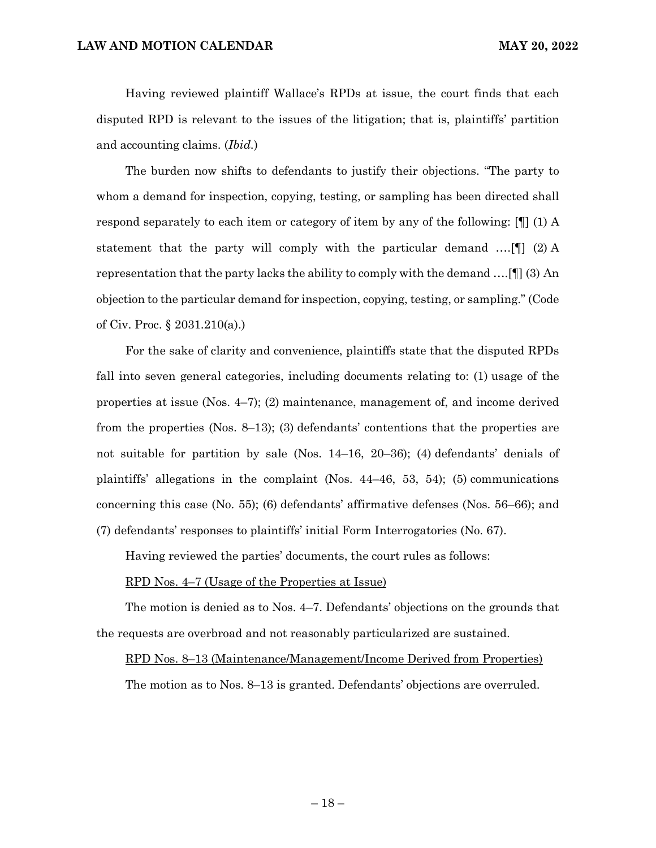Having reviewed plaintiff Wallace's RPDs at issue, the court finds that each disputed RPD is relevant to the issues of the litigation; that is, plaintiffs' partition and accounting claims. (*Ibid.*)

The burden now shifts to defendants to justify their objections. "The party to whom a demand for inspection, copying, testing, or sampling has been directed shall respond separately to each item or category of item by any of the following: [¶] (1) A statement that the party will comply with the particular demand ….[¶] (2) A representation that the party lacks the ability to comply with the demand ….[¶] (3) An objection to the particular demand for inspection, copying, testing, or sampling." (Code of Civ. Proc. § 2031.210(a).)

For the sake of clarity and convenience, plaintiffs state that the disputed RPDs fall into seven general categories, including documents relating to: (1) usage of the properties at issue (Nos. 4–7); (2) maintenance, management of, and income derived from the properties (Nos. 8–13); (3) defendants' contentions that the properties are not suitable for partition by sale (Nos. 14–16, 20–36); (4) defendants' denials of plaintiffs' allegations in the complaint (Nos. 44–46, 53, 54); (5) communications concerning this case (No. 55); (6) defendants' affirmative defenses (Nos. 56–66); and (7) defendants' responses to plaintiffs' initial Form Interrogatories (No. 67).

Having reviewed the parties' documents, the court rules as follows:

#### RPD Nos. 4–7 (Usage of the Properties at Issue)

The motion is denied as to Nos. 4–7. Defendants' objections on the grounds that the requests are overbroad and not reasonably particularized are sustained.

#### RPD Nos. 8–13 (Maintenance/Management/Income Derived from Properties)

The motion as to Nos. 8–13 is granted. Defendants' objections are overruled.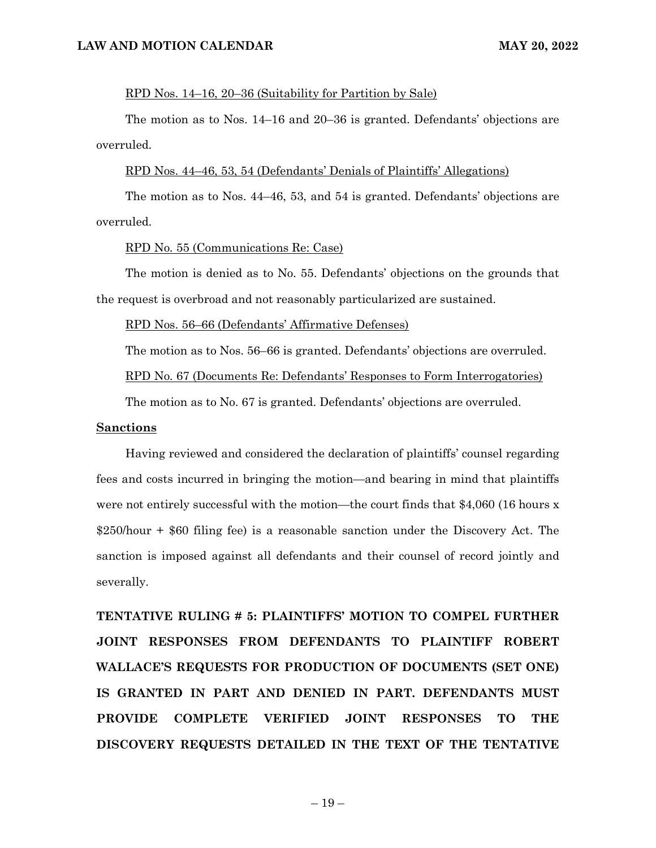#### RPD Nos. 14–16, 20–36 (Suitability for Partition by Sale)

The motion as to Nos. 14–16 and 20–36 is granted. Defendants' objections are overruled.

# RPD Nos. 44–46, 53, 54 (Defendants' Denials of Plaintiffs' Allegations)

The motion as to Nos. 44–46, 53, and 54 is granted. Defendants' objections are overruled.

#### RPD No. 55 (Communications Re: Case)

The motion is denied as to No. 55. Defendants' objections on the grounds that the request is overbroad and not reasonably particularized are sustained.

RPD Nos. 56–66 (Defendants' Affirmative Defenses)

The motion as to Nos. 56–66 is granted. Defendants' objections are overruled.

RPD No. 67 (Documents Re: Defendants' Responses to Form Interrogatories)

The motion as to No. 67 is granted. Defendants' objections are overruled.

#### **Sanctions**

Having reviewed and considered the declaration of plaintiffs' counsel regarding fees and costs incurred in bringing the motion—and bearing in mind that plaintiffs were not entirely successful with the motion—the court finds that \$4,060 (16 hours x \$250/hour + \$60 filing fee) is a reasonable sanction under the Discovery Act. The sanction is imposed against all defendants and their counsel of record jointly and severally.

**TENTATIVE RULING # 5: PLAINTIFFS' MOTION TO COMPEL FURTHER JOINT RESPONSES FROM DEFENDANTS TO PLAINTIFF ROBERT WALLACE'S REQUESTS FOR PRODUCTION OF DOCUMENTS (SET ONE) IS GRANTED IN PART AND DENIED IN PART. DEFENDANTS MUST PROVIDE COMPLETE VERIFIED JOINT RESPONSES TO THE DISCOVERY REQUESTS DETAILED IN THE TEXT OF THE TENTATIVE**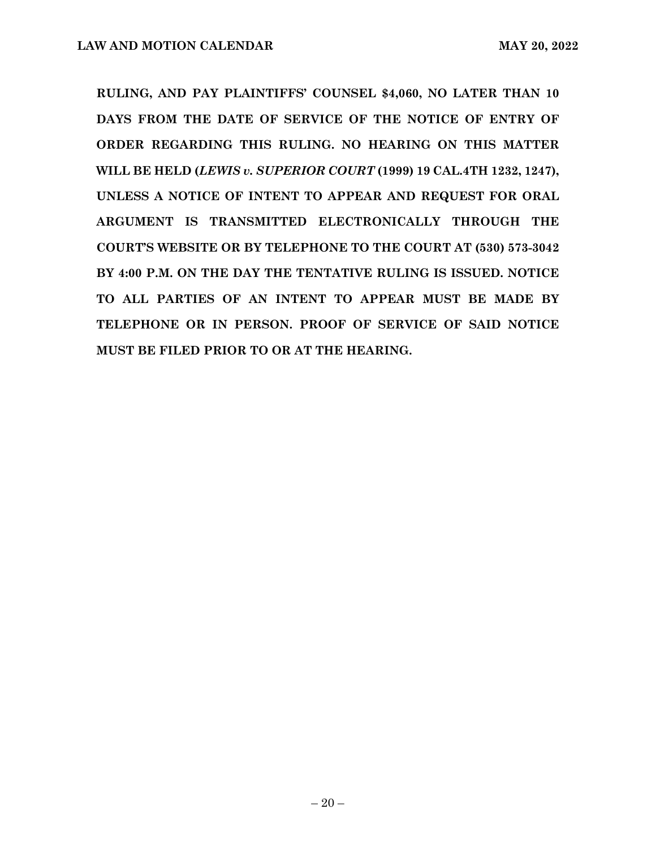**RULING, AND PAY PLAINTIFFS' COUNSEL \$4,060, NO LATER THAN 10 DAYS FROM THE DATE OF SERVICE OF THE NOTICE OF ENTRY OF ORDER REGARDING THIS RULING. NO HEARING ON THIS MATTER WILL BE HELD (***LEWIS v. SUPERIOR COURT* **(1999) 19 CAL.4TH 1232, 1247), UNLESS A NOTICE OF INTENT TO APPEAR AND REQUEST FOR ORAL ARGUMENT IS TRANSMITTED ELECTRONICALLY THROUGH THE COURT'S WEBSITE OR BY TELEPHONE TO THE COURT AT (530) 573-3042 BY 4:00 P.M. ON THE DAY THE TENTATIVE RULING IS ISSUED. NOTICE TO ALL PARTIES OF AN INTENT TO APPEAR MUST BE MADE BY TELEPHONE OR IN PERSON. PROOF OF SERVICE OF SAID NOTICE MUST BE FILED PRIOR TO OR AT THE HEARING.**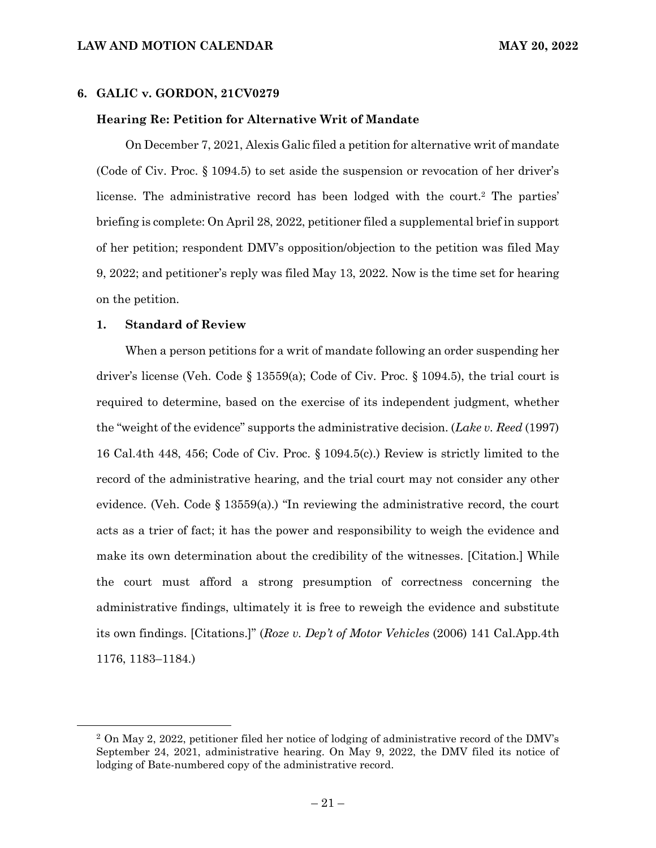# **6. GALIC v. GORDON, 21CV0279**

#### **Hearing Re: Petition for Alternative Writ of Mandate**

On December 7, 2021, Alexis Galic filed a petition for alternative writ of mandate (Code of Civ. Proc. § 1094.5) to set aside the suspension or revocation of her driver's license. The administrative record has been lodged with the court.2 The parties' briefing is complete: On April 28, 2022, petitioner filed a supplemental brief in support of her petition; respondent DMV's opposition/objection to the petition was filed May 9, 2022; and petitioner's reply was filed May 13, 2022. Now is the time set for hearing on the petition.

#### **1. Standard of Review**

When a person petitions for a writ of mandate following an order suspending her driver's license (Veh. Code § 13559(a); Code of Civ. Proc. § 1094.5), the trial court is required to determine, based on the exercise of its independent judgment, whether the "weight of the evidence" supports the administrative decision. (*Lake v. Reed* (1997) 16 Cal.4th 448, 456; Code of Civ. Proc. § 1094.5(c).) Review is strictly limited to the record of the administrative hearing, and the trial court may not consider any other evidence. (Veh. Code  $\S 13559(a)$ .) "In reviewing the administrative record, the court acts as a trier of fact; it has the power and responsibility to weigh the evidence and make its own determination about the credibility of the witnesses. [Citation.] While the court must afford a strong presumption of correctness concerning the administrative findings, ultimately it is free to reweigh the evidence and substitute its own findings. [Citations.]" (*Roze v. Dep't of Motor Vehicles* (2006) 141 Cal.App.4th 1176, 1183–1184.)

<sup>2</sup> On May 2, 2022, petitioner filed her notice of lodging of administrative record of the DMV's September 24, 2021, administrative hearing. On May 9, 2022, the DMV filed its notice of lodging of Bate-numbered copy of the administrative record.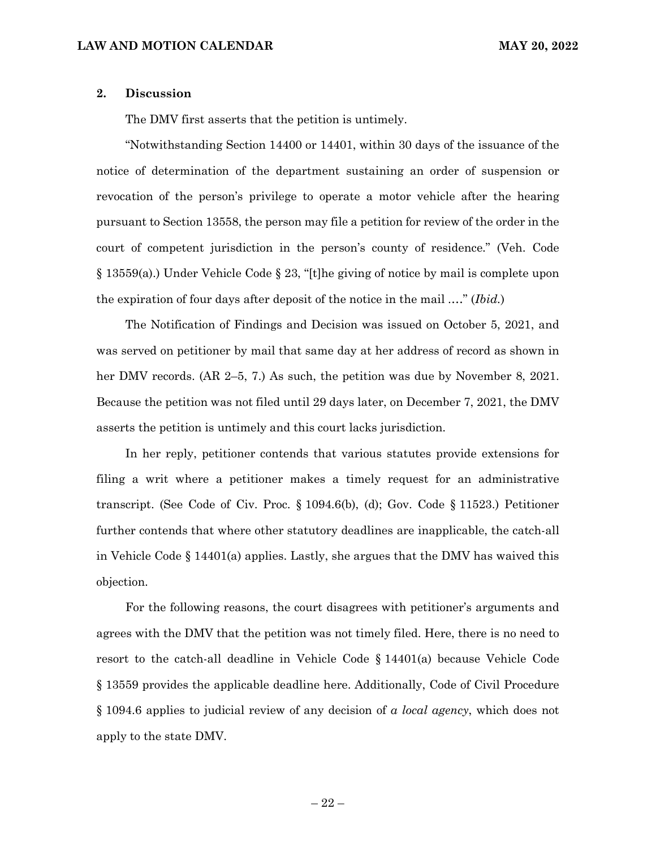# **2. Discussion**

The DMV first asserts that the petition is untimely.

"Notwithstanding Section 14400 or 14401, within 30 days of the issuance of the notice of determination of the department sustaining an order of suspension or revocation of the person's privilege to operate a motor vehicle after the hearing pursuant to Section 13558, the person may file a petition for review of the order in the court of competent jurisdiction in the person's county of residence." (Veh. Code § 13559(a).) Under Vehicle Code § 23, "[t]he giving of notice by mail is complete upon the expiration of four days after deposit of the notice in the mail .…" (*Ibid.*)

The Notification of Findings and Decision was issued on October 5, 2021, and was served on petitioner by mail that same day at her address of record as shown in her DMV records. (AR 2–5, 7.) As such, the petition was due by November 8, 2021. Because the petition was not filed until 29 days later, on December 7, 2021, the DMV asserts the petition is untimely and this court lacks jurisdiction.

In her reply, petitioner contends that various statutes provide extensions for filing a writ where a petitioner makes a timely request for an administrative transcript. (See Code of Civ. Proc. § 1094.6(b), (d); Gov. Code § 11523.) Petitioner further contends that where other statutory deadlines are inapplicable, the catch-all in Vehicle Code § 14401(a) applies. Lastly, she argues that the DMV has waived this objection.

For the following reasons, the court disagrees with petitioner's arguments and agrees with the DMV that the petition was not timely filed. Here, there is no need to resort to the catch-all deadline in Vehicle Code § 14401(a) because Vehicle Code § 13559 provides the applicable deadline here. Additionally, Code of Civil Procedure § 1094.6 applies to judicial review of any decision of *a local agency*, which does not apply to the state DMV.